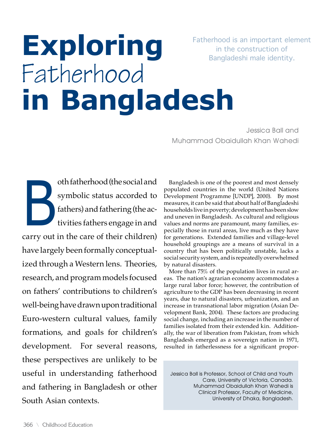Fatherhood is an important element in the construction of Bangladeshi male identity.

# **Exploring** Fatherhood **in Bangladesh**

Jessica Ball and Muhammad Obaidullah Khan Wahedi

oth fatherhood (the social and<br>symbolic status accorded to<br>fathers) and fathering (the ac-<br>tivities fathers engage in and symbolic status accorded to fathers) and fathering (the activities fathers engage in and carry out in the care of their children) have largely been formally conceptualized through a Western lens. Theories, research, and program models focused on fathers' contributions to children's well-being have drawn upon traditional Euro-western cultural values, family formations, and goals for children's development. For several reasons, these perspectives are unlikely to be useful in understanding fatherhood and fathering in Bangladesh or other South Asian contexts.

Bangladesh is one of the poorest and most densely populated countries in the world (United Nations Development Programme [UNDP], 2000). By most measures, it can be said that about half of Bangladeshi households live in poverty; development has been slow and uneven in Bangladesh. As cultural and religious values and norms are paramount, many families, especially those in rural areas, live much as they have for generations. Extended families and village-level household groupings are a means of survival in a country that has been politically unstable, lacks a social security system, and is repeatedly overwhelmed by natural disasters.

More than 75% of the population lives in rural areas. The nation's agrarian economy accommodates a large rural labor force; however, the contribution of agriculture to the GDP has been decreasing in recent years, due to natural disasters, urbanization, and an increase in transnational labor migration (Asian Development Bank, 2004). These factors are producing social change, including an increase in the number of families isolated from their extended kin. Additionally, the war of liberation from Pakistan, from which Bangladesh emerged as a sovereign nation in 1971, resulted in fatherlessness for a significant propor-

Jessica Ball is Professor, School of Child and Youth Care, University of Victoria, Canada. Muhammad Obaidullah Khan Wahedi is Clinical Professor, Faculty of Medicine, University of Dhaka, Bangladesh.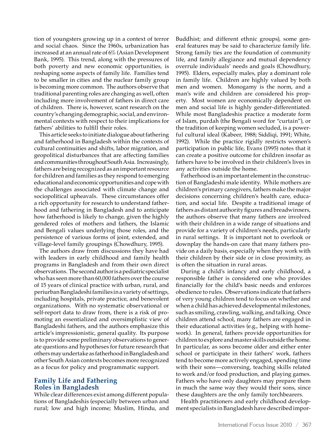tion of youngsters growing up in a context of terror and social chaos. Since the 1960s, urbanization has increased at an annual rate of 6% (Asian Development Bank, 1995). This trend, along with the pressures of both poverty and new economic opportunities, is reshaping some aspects of family life. Families tend to be smaller in cities and the nuclear family group is becoming more common. The authors observe that traditional parenting roles are changing as well, often including more involvement of fathers in direct care of children. There is, however, scant research on the country's changing demographic, social, and environmental contexts with respect to their implications for fathers' abilities to fulfill their roles.

This article seeks to initiate dialogue about fathering and fatherhood in Bangladesh within the contexts of cultural continuities and shifts, labor migration, and geopolitical disturbances that are affecting families and communities throughout South Asia. Increasingly, fathers are being recognized as an important resource for children and families as they respond to emerging educational and economic opportunities and cope with the challenges associated with climate change and sociopolitical upheavals. These circumstances offer a rich opportunity for research to understand fatherhood and fathering in Bangladesh and to anticipate how fatherhood is likely to change, given the highly gendered roles of mothers and fathers, the Islamic and Bengali values underlying those roles, and the persistence of various forms of joint, extended, and village-level family groupings (Chowdhury, 1995).

The authors draw from discussions they have had with leaders in early childhood and family health programs in Bangladesh and from their own direct observations. The second author is a pediatric specialist who has seen more than 60,000 fathers over the course of 15 years of clinical practice with urban, rural, and periurban Bangladeshi families in a variety of settings, including hospitals, private practice, and benevolent organizations. With no systematic observational or self-report data to draw from, there is a risk of promoting an essentialized and oversimplistic view of Bangladeshi fathers, and the authors emphasize this article's impressionistic, general quality. Its purpose is to provide some preliminary observations to generate questions and hypotheses for future research that others may undertake as fatherhood in Bangladesh and other South Asian contexts becomes more recognized as a focus for policy and programmatic support.

# **Family Life and Fathering Roles in Bangladesh**

While clear differences exist among different populations of Bangladeshis (especially between urban and rural; low and high income; Muslim, Hindu, and

Buddhist; and different ethnic groups), some general features may be said to characterize family life. Strong family ties are the foundation of community life, and family allegiance and mutual dependency overrule individuals' needs and goals (Chowdhury, 1995). Elders, especially males, play a dominant role in family life. Children are highly valued by both men and women. Monogamy is the norm, and a man's wife and children are considered his property. Most women are economically dependent on men and social life is highly gender-differentiated. While most Bangladeshis practice a moderate form of Islam, purdah (the Bengali word for "curtain"), or the tradition of keeping women secluded, is a powerful cultural ideal (Kabeer, 1988; Siddiqi, 1991; White, 1992). While the practice rigidly restricts women's participation in public life, Evans (1995) notes that it can create a positive outcome for children insofar as fathers have to be involved in their children's lives in any activities outside the home.

Fatherhood is an important element in the construction of Bangladeshi male identity. While mothers are children's primary caregivers, fathers make the major decisions concerning children's health care, education, and social life. Despite a traditional image of fathers as distant authority figures and breadwinners, the authors observe that many fathers are involved with their children in a wide range of situations and provide for a variety of children's needs, particularly in rural settings. It is important not to overlook or downplay the hands-on care that many fathers provide on a daily basis, especially when they work with their children by their side or in close proximity, as is often the situation in rural areas.

During a child's infancy and early childhood, a responsible father is considered one who provides financially for the child's basic needs and enforces obedience to rules. Observations indicate that fathers of very young children tend to focus on whether and when a child has achieved developmental milestones, such as smiling, crawling, walking, and talking. Once children attend school, many fathers are engaged in their educational activities (e.g., helping with homework). In general, fathers provide opportunities for children to explore and master skills outside the home. In particular, as sons become older and either enter school or participate in their fathers' work, fathers tend to become more actively engaged, spending time with their sons—conversing, teaching skills related to work and/or food production, and playing games. Fathers who have only daughters may prepare them in much the same way they would their sons, since these daughters are the only family torchbearers.

Health practitioners and early childhood development specialists in Bangladesh have described impor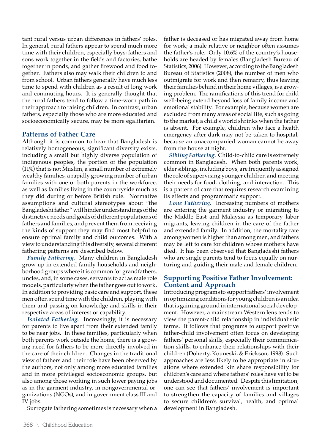tant rural versus urban differences in fathers' roles. In general, rural fathers appear to spend much more time with their children, especially boys; fathers and sons work together in the fields and factories, bathe together in ponds, and gather firewood and food together. Fathers also may walk their children to and from school. Urban fathers generally have much less time to spend with children as a result of long work and commuting hours. It is generally thought that the rural fathers tend to follow a time-worn path in their approach to raising children. In contrast, urban fathers, especially those who are more educated and socioeconomically secure, may be more egalitarian.

## **Patterns of Father Care**

Although it is common to hear that Bangladesh is relatively homogeneous, significant diversity exists, including a small but highly diverse population of indigenous peoples, the portion of the population (11%) that is not Muslim, a small number of extremely wealthy families, a rapidly growing number of urban families with one or both parents in the workforce, as well as families living in the countryside much as they did during or before British rule. Normative assumptions and cultural stereotypes about "the Bangladeshi father" will hinder understandings of the distinctive needs and goals of different populations of fathers and families, and prevent them from receiving the kinds of support they may find most helpful to ensure optimal family and child outcomes. With a view to understanding this diversity, several different fathering patterns are described below.

*Family Fathering.* Many children in Bangladesh grow up in extended family households and neighborhood groups where it is common for grandfathers, uncles, and, in some cases, servants to act as male role models, particularly when the father goes out to work. In addition to providing basic care and support, these men often spend time with the children, playing with them and passing on knowledge and skills in their respective areas of interest or capability.

*Isolated Fathering.* Increasingly, it is necessary for parents to live apart from their extended family to be near jobs. In these families, particularly when both parents work outside the home, there is a growing need for fathers to be more directly involved in the care of their children. Changes in the traditional view of fathers and their role have been observed by the authors, not only among more educated families and in more privileged socioeconomic groups, but also among those working in such lower paying jobs as in the garment industry, in nongovernmental organizations (NGOs), and in government class III and IV jobs.

Surrogate fathering sometimes is necessary when a

father is deceased or has migrated away from home for work; a male relative or neighbor often assumes the father's role. Only 10.6% of the country's households are headed by females (Bangladesh Bureau of Statistics, 2006). However, according to the Bangladesh Bureau of Statistics (2008), the number of men who outmigrate for work and then remarry, thus leaving their families behind in their home villages, is a growing problem. The ramifications of this trend for child well-being extend beyond loss of family income and emotional stability. For example, because women are excluded from many areas of social life, such as going to the market, a child's world shrinks when the father is absent. For example, children who face a health emergency after dark may not be taken to hospital, because an unaccompanied woman cannot be away from the house at night.

*Sibling Fathering.* Child-to-child care is extremely common in Bangladesh. When both parents work, elder siblings, including boys, are frequently assigned the role of supervising younger children and meeting their needs for food, clothing, and interaction. This is a pattern of care that requires research examining its effects and programmatic support.

*Lone Fathering.* Increasing numbers of mothers are entering the garment industry or migrating to the Middle East and Malaysia as temporary labor migrants, leaving children in the care of the father and extended family. In addition, the mortality rate among women is higher than among men, and fathers may be left to care for children whose mothers have died. It has been observed that Bangladeshi fathers who are single parents tend to focus equally on nurturing and guiding their male and female children.

# **Supporting Positive Father Involvement: Content and Approach**

Introducing programs to support fathers' involvement in optimizing conditions for young children is an idea that is gaining ground in international social development. However, a mainstream Western lens tends to view the parent-child relationship in individualistic terms. It follows that programs to support positive father-child involvement often focus on developing fathers' personal skills, especially their communication skills, to enhance their relationships with their children (Doherty, Kouneski, & Erickson, 1998). Such approaches are less likely to be appropriate in situations where extended kin share responsibility for children's care and where fathers' roles have yet to be understood and documented. Despite this limitation, one can see that fathers' involvement is important to strengthen the capacity of families and villages to secure children's survival, health, and optimal development in Bangladesh.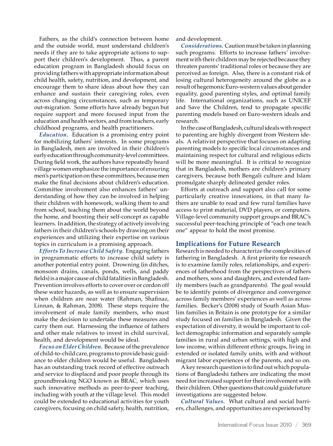Fathers, as the child's connection between home and the outside world, must understand children's needs if they are to take appropriate actions to support their children's development. Thus, a parent education program in Bangladesh should focus on providing fathers with appropriate information about child health, safety, nutrition, and development, and encourage them to share ideas about how they can enhance and sustain their caregiving roles, even across changing circumstances, such as temporary out-migration. Some efforts have already begun but require support and more focused input from the education and health sectors, and from teachers, early childhood programs, and health practitioners.

*Education.* Education is a promising entry point for mobilizing fathers' interests. In some programs in Bangladesh, men are involved in their children's early education through community-level committees. During field work, the authors have repeatedly heard village women emphasize the importance of ensuring men's participation on these committees, because men make the final decisions about children's education. Committee involvement also enhances fathers' understanding of how they can be involved in helping their children with homework, walking them to and from school, teaching them about the world beyond the home, and boosting their self-concept as capable learners. In addition, the strategy of actively involving fathers in their children's schools by drawing on their experiences and utilizing their expertise on various topics in curriculum is a promising approach.

*Efforts To Increase Child Safety.* Engaging fathers in programmatic efforts to increase child safety is another potential entry point. Drowning (in ditches, monsoon drains, canals, ponds, wells, and paddy fields) is a major cause of child fatalities in Bangladesh. Prevention involves efforts to cover over or cordon off these water hazards, as well as to ensure supervision when children are near water (Rahman, Shafinaz, Linnan, & Rahman, 2008). These steps require the involvement of male family members, who must make the decision to undertake these measures and carry them out. Harnessing the influence of fathers and other male relatives to invest in child survival, health, and development would be ideal.

*Focus on Elder Children.* Because of the prevalence of child-to-child care, programs to provide basic guidance to elder children would be useful. Bangladesh has an outstanding track record of effective outreach and service to displaced and poor people through its groundbreaking NGO known as BRAC, which uses such innovative methods as peer-to-peer teaching, including with youth at the village level. This model could be extended to educational activities for youth caregivers, focusing on child safety, health, nutrition,

and development.

*Considerations.* Caution must be taken in planning such programs. Efforts to increase fathers' involvement with their children may be rejected because they threaten parents' traditional roles or because they are perceived as foreign. Also, there is a constant risk of losing cultural heterogeneity around the globe as a result of hegemonic Euro-western values about gender equality, good parenting styles, and optimal family life. International organizations, such as UNICEF and Save the Children, tend to propagate specific parenting models based on Euro-western ideals and research.

In the case of Bangladesh, cultural ideals with respect to parenting are highly divergent from Western ideals. A relativist perspective that focuses on adapting parenting models to specific local circumstances and maintaining respect for cultural and religious edicts will be more meaningful. It is critical to recognize that in Bangladesh, mothers are children's primary caregivers, because both Bengali culture and Islam promulgate sharply delineated gender roles.

Efforts at outreach and support also call for some particularly creative innovations, in that many fathers are unable to read and few rural families have access to print material, DVD players, or computers. Village-level community support groups and BRAC's successful peer-teaching principle of "each one teach one" appear to hold the most promise.

#### **Implications for Future Research**

Research is needed to characterize the complexities of fathering in Bangladesh. A first priority for research is to examine family roles, relationships, and experiences of fatherhood from the perspectives of fathers and mothers, sons and daughters, and extended family members (such as grandparents). The goal would be to identify points of divergence and convergence across family members' experiences as well as across families. Becker's (2008) study of South Asian Muslim families in Britain is one prototype for a similar study focused on families in Bangladesh. Given the expectation of diversity, it would be important to collect demographic information and separately sample families in rural and urban settings, with high and low income, within different ethnic groups, living in extended or isolated family units, with and without migrant labor experiences of the parents, and so on.

A key research question is to find out which populations of Bangladeshi fathers are indicating the most need for increased support for their involvement with their children. Other questions that could guide future investigations are suggested below.

*Cultural Values.* What cultural and social barriers, challenges, and opportunities are experienced by